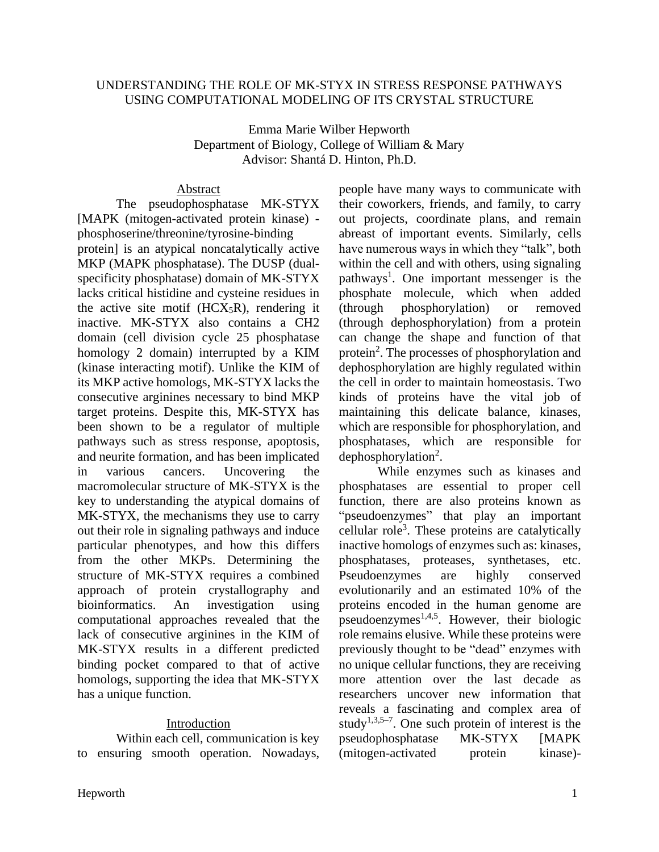### UNDERSTANDING THE ROLE OF MK-STYX IN STRESS RESPONSE PATHWAYS USING COMPUTATIONAL MODELING OF ITS CRYSTAL STRUCTURE

Emma Marie Wilber Hepworth Department of Biology, College of William & Mary Advisor: Shantá D. Hinton, Ph.D.

### Abstract

The pseudophosphatase MK-STYX [MAPK (mitogen-activated protein kinase) phosphoserine/threonine/tyrosine-binding protein] is an atypical noncatalytically active MKP (MAPK phosphatase). The DUSP (dualspecificity phosphatase) domain of MK-STYX lacks critical histidine and cysteine residues in the active site motif  $(HCX<sub>5</sub>R)$ , rendering it inactive. MK-STYX also contains a CH2 domain (cell division cycle 25 phosphatase homology 2 domain) interrupted by a KIM (kinase interacting motif). Unlike the KIM of its MKP active homologs, MK-STYX lacks the consecutive arginines necessary to bind MKP target proteins. Despite this, MK-STYX has been shown to be a regulator of multiple pathways such as stress response, apoptosis, and neurite formation, and has been implicated in various cancers. Uncovering the macromolecular structure of MK-STYX is the key to understanding the atypical domains of MK-STYX, the mechanisms they use to carry out their role in signaling pathways and induce particular phenotypes, and how this differs from the other MKPs. Determining the structure of MK-STYX requires a combined approach of protein crystallography and bioinformatics. An investigation using computational approaches revealed that the lack of consecutive arginines in the KIM of MK-STYX results in a different predicted binding pocket compared to that of active homologs, supporting the idea that MK-STYX has a unique function.

## Introduction

Within each cell, communication is key to ensuring smooth operation. Nowadays,

people have many ways to communicate with their coworkers, friends, and family, to carry out projects, coordinate plans, and remain abreast of important events. Similarly, cells have numerous ways in which they "talk", both within the cell and with others, using signaling pathways<sup>1</sup>. One important messenger is the phosphate molecule, which when added (through phosphorylation) or removed (through dephosphorylation) from a protein can change the shape and function of that protein<sup>2</sup>. The processes of phosphorylation and dephosphorylation are highly regulated within the cell in order to maintain homeostasis. Two kinds of proteins have the vital job of maintaining this delicate balance, kinases, which are responsible for phosphorylation, and phosphatases, which are responsible for dephosphorylation<sup>2</sup>.

While enzymes such as kinases and phosphatases are essential to proper cell function, there are also proteins known as "pseudoenzymes" that play an important cellular role<sup>3</sup>. These proteins are catalytically inactive homologs of enzymes such as: kinases, phosphatases, proteases, synthetases, etc. Pseudoenzymes are highly conserved evolutionarily and an estimated 10% of the proteins encoded in the human genome are pseudoenzymes<sup>1,4,5</sup>. However, their biologic role remains elusive. While these proteins were previously thought to be "dead" enzymes with no unique cellular functions, they are receiving more attention over the last decade as researchers uncover new information that reveals a fascinating and complex area of study<sup>1,3,5–7</sup>. One such protein of interest is the pseudophosphatase MK-STYX [MAPK (mitogen-activated protein kinase)-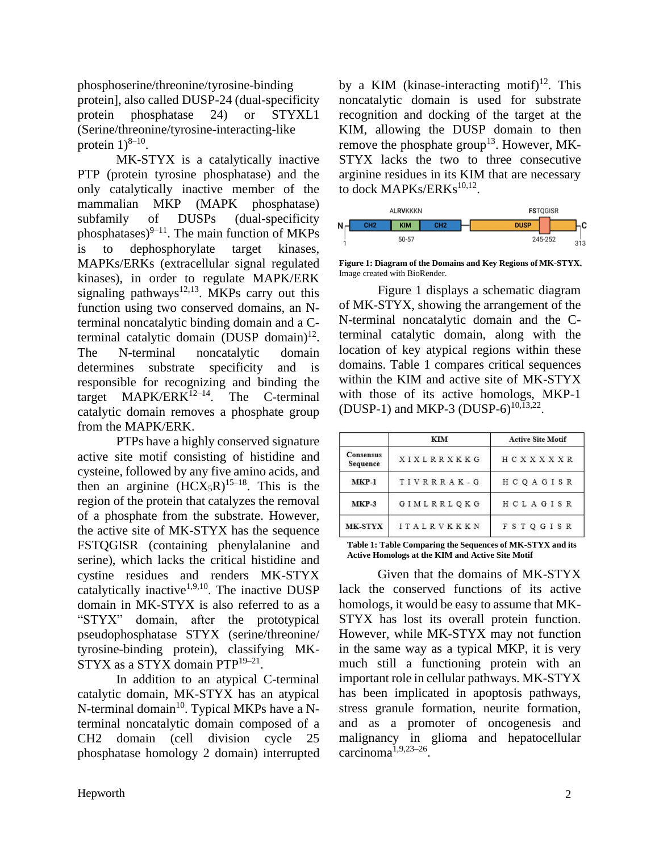phosphoserine/threonine/tyrosine-binding protein], also called DUSP-24 (dual-specificity protein phosphatase 24) or STYXL1 (Serine/threonine/tyrosine-interacting-like protein  $1)^{8-10}$ .

MK-STYX is a catalytically inactive PTP (protein tyrosine phosphatase) and the only catalytically inactive member of the mammalian MKP (MAPK phosphatase) subfamily of DUSPs (dual-specificity phosphatases) $9-11$ . The main function of MKPs is to dephosphorylate target kinases, MAPKs/ERKs (extracellular signal regulated kinases), in order to regulate MAPK/ERK signaling pathways $12,13$ . MKPs carry out this function using two conserved domains, an Nterminal noncatalytic binding domain and a Cterminal catalytic domain (DUSP domain) $12$ . The N-terminal noncatalytic domain determines substrate specificity and is responsible for recognizing and binding the target  $MAPK/ERK<sup>12–14</sup>$ . The C-terminal catalytic domain removes a phosphate group from the MAPK/ERK.

PTPs have a highly conserved signature active site motif consisting of histidine and cysteine, followed by any five amino acids, and then an arginine  $(HCX_5R)^{15-18}$ . This is the region of the protein that catalyzes the removal of a phosphate from the substrate. However, the active site of MK-STYX has the sequence FSTQGISR (containing phenylalanine and serine), which lacks the critical histidine and cystine residues and renders MK-STYX catalytically inactive<sup>1,9,10</sup>. The inactive DUSP domain in MK-STYX is also referred to as a "STYX" domain, after the prototypical pseudophosphatase STYX (serine/threonine/ tyrosine-binding protein), classifying MK-STYX as a STYX domain PTP<sup>19-21</sup>.

In addition to an atypical C-terminal catalytic domain, MK-STYX has an atypical N-terminal domain $^{10}$ . Typical MKPs have a Nterminal noncatalytic domain composed of a CH2 domain (cell division cycle 25 phosphatase homology 2 domain) interrupted

by a KIM (kinase-interacting motif)<sup>12</sup>. This noncatalytic domain is used for substrate recognition and docking of the target at the KIM, allowing the DUSP domain to then remove the phosphate group<sup>13</sup>. However, MK-STYX lacks the two to three consecutive arginine residues in its KIM that are necessary to dock MAPKs/ERKs<sup>10,12</sup>.



**Figure 1: Diagram of the Domains and Key Regions of MK-STYX.**  Image created with BioRender.

Figure 1 displays a schematic diagram of MK-STYX, showing the arrangement of the N-terminal noncatalytic domain and the Cterminal catalytic domain, along with the location of key atypical regions within these domains. Table 1 compares critical sequences within the KIM and active site of MK-STYX with those of its active homologs, MKP-1  $(DUSP-1)$  and MKP-3  $(DUSP-6)^{10,13,22}$ .

|                       | KIM               | <b>Active Site Motif</b> |  |
|-----------------------|-------------------|--------------------------|--|
| Consensus<br>Sequence | XIXLRRXKKG        | HCXXXXXR                 |  |
| $MKP-1$               | TIVRRRAK-G        | HCOAGISR                 |  |
| $MKP-3$               | GIMLRRLOKG        | HCLAGISR                 |  |
| MK-STYX               | <b>ITALRVKKKN</b> | <b>FSTOGISR</b>          |  |

**Table 1: Table Comparing the Sequences of MK-STYX and its Active Homologs at the KIM and Active Site Motif**

Given that the domains of MK-STYX lack the conserved functions of its active homologs, it would be easy to assume that MK-STYX has lost its overall protein function. However, while MK-STYX may not function in the same way as a typical MKP, it is very much still a functioning protein with an important role in cellular pathways. MK-STYX has been implicated in apoptosis pathways, stress granule formation, neurite formation, and as a promoter of oncogenesis and malignancy in glioma and hepatocellular carcinoma1,9,23–26 .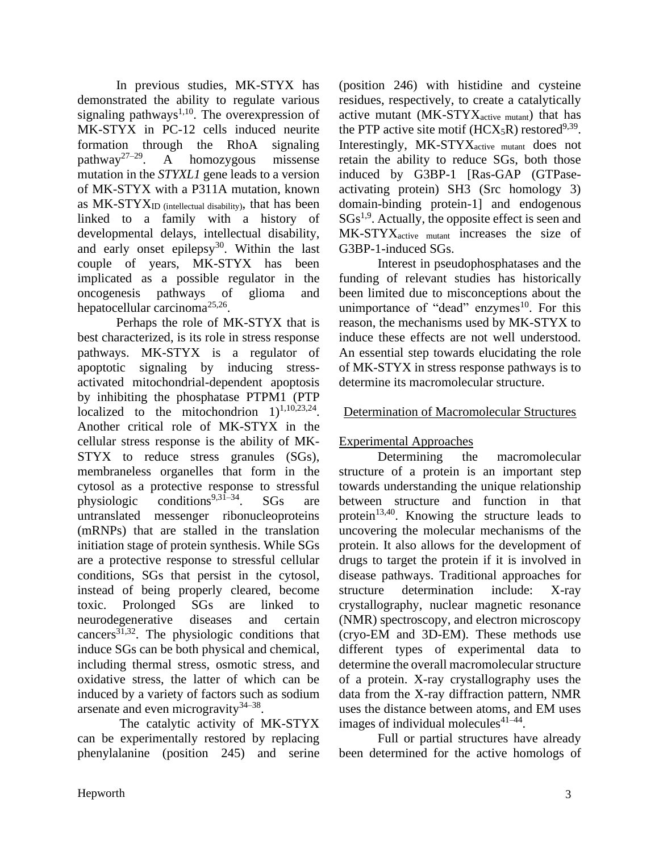In previous studies, MK-STYX has demonstrated the ability to regulate various signaling pathways<sup>1,10</sup>. The overexpression of MK-STYX in PC-12 cells induced neurite formation through the RhoA signaling pathway<sup>27–29</sup>. . A homozygous missense mutation in the *STYXL1* gene leads to a version of MK-STYX with a P311A mutation, known as  $MK-STYX_{ID}$  (intellectual disability), that has been linked to a family with a history of developmental delays, intellectual disability, and early onset epilepsy $30$ . Within the last couple of years, MK-STYX has been implicated as a possible regulator in the oncogenesis pathways of glioma and hepatocellular carcinoma<sup>25,26</sup>.

Perhaps the role of MK-STYX that is best characterized, is its role in stress response pathways. MK-STYX is a regulator of apoptotic signaling by inducing stressactivated mitochondrial-dependent apoptosis by inhibiting the phosphatase PTPM1 (PTP localized to the mitochondrion  $1)^{1,10,23,24}$ . Another critical role of MK-STYX in the cellular stress response is the ability of MK-STYX to reduce stress granules (SGs), membraneless organelles that form in the cytosol as a protective response to stressful physiologic conditions<sup>9,31–34</sup>. SGs are untranslated messenger ribonucleoproteins (mRNPs) that are stalled in the translation initiation stage of protein synthesis. While SGs are a protective response to stressful cellular conditions, SGs that persist in the cytosol, instead of being properly cleared, become toxic. Prolonged SGs are linked to neurodegenerative diseases and certain cancers<sup>31,32</sup>. The physiologic conditions that induce SGs can be both physical and chemical, including thermal stress, osmotic stress, and oxidative stress, the latter of which can be induced by a variety of factors such as sodium arsenate and even microgravity  $34-38$ .

The catalytic activity of MK-STYX can be experimentally restored by replacing phenylalanine (position 245) and serine (position 246) with histidine and cysteine residues, respectively, to create a catalytically active mutant  $(MK-TYX<sub>active mutant</sub>)$  that has the PTP active site motif ( $HCX_5R$ ) restored<sup>9,39</sup>. Interestingly, MK-STYX<sub>active mutant</sub> does not retain the ability to reduce SGs, both those induced by G3BP-1 [Ras-GAP (GTPaseactivating protein) SH3 (Src homology 3) domain-binding protein-1] and endogenous  $SGs<sup>1,9</sup>$ . Actually, the opposite effect is seen and MK-STYXactive mutant increases the size of G3BP-1-induced SGs.

Interest in pseudophosphatases and the funding of relevant studies has historically been limited due to misconceptions about the unimportance of "dead" enzymes $10$ . For this reason, the mechanisms used by MK-STYX to induce these effects are not well understood. An essential step towards elucidating the role of MK-STYX in stress response pathways is to determine its macromolecular structure.

### Determination of Macromolecular Structures

## Experimental Approaches

Determining the macromolecular structure of a protein is an important step towards understanding the unique relationship between structure and function in that protein $13,40$ . Knowing the structure leads to uncovering the molecular mechanisms of the protein. It also allows for the development of drugs to target the protein if it is involved in disease pathways. Traditional approaches for structure determination include: X-ray crystallography, nuclear magnetic resonance (NMR) spectroscopy, and electron microscopy (cryo-EM and 3D-EM). These methods use different types of experimental data to determine the overall macromolecular structure of a protein. X-ray crystallography uses the data from the X-ray diffraction pattern, NMR uses the distance between atoms, and EM uses images of individual molecules $41-44$ .

Full or partial structures have already been determined for the active homologs of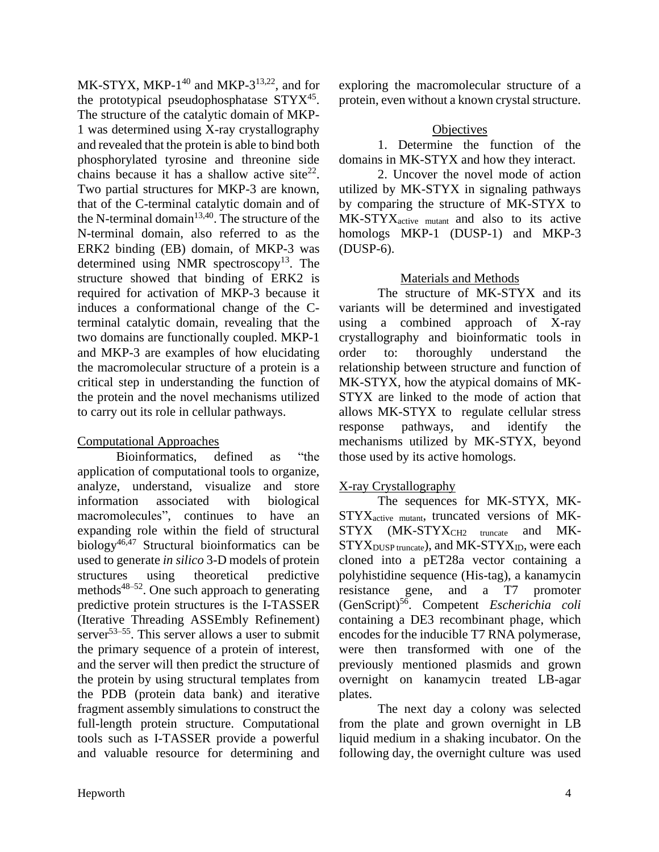MK-STYX, MKP- $1^{40}$  and MKP- $3^{13,22}$ , and for the prototypical pseudophosphatase  $STYX<sup>45</sup>$ . The structure of the catalytic domain of MKP-1 was determined using X-ray crystallography and revealed that the protein is able to bind both phosphorylated tyrosine and threonine side chains because it has a shallow active site<sup>22</sup>. Two partial structures for MKP-3 are known, that of the C-terminal catalytic domain and of the N-terminal domain<sup>13,40</sup>. The structure of the N-terminal domain, also referred to as the ERK2 binding (EB) domain, of MKP-3 was determined using NMR spectroscopy<sup>13</sup>. The structure showed that binding of ERK2 is required for activation of MKP-3 because it induces a conformational change of the Cterminal catalytic domain, revealing that the two domains are functionally coupled. MKP-1 and MKP-3 are examples of how elucidating the macromolecular structure of a protein is a critical step in understanding the function of the protein and the novel mechanisms utilized to carry out its role in cellular pathways.

## Computational Approaches

Bioinformatics, defined as "the application of computational tools to organize, analyze, understand, visualize and store information associated with biological macromolecules", continues to have an expanding role within the field of structural biology<sup>46,47</sup> Structural bioinformatics can be used to generate *in silico* 3-D models of protein structures using theoretical predictive methods<sup>48–52</sup>. One such approach to generating predictive protein structures is the I-TASSER (Iterative Threading ASSEmbly Refinement) server $53-55$ . This server allows a user to submit the primary sequence of a protein of interest, and the server will then predict the structure of the protein by using structural templates from the PDB (protein data bank) and iterative fragment assembly simulations to construct the full-length protein structure. Computational tools such as I-TASSER provide a powerful and valuable resource for determining and

exploring the macromolecular structure of a protein, even without a known crystal structure.

## **Objectives**

1. Determine the function of the domains in MK-STYX and how they interact.

2. Uncover the novel mode of action utilized by MK-STYX in signaling pathways by comparing the structure of MK-STYX to MK-STYX<sub>active mutant</sub> and also to its active homologs MKP-1 (DUSP-1) and MKP-3 (DUSP-6).

# Materials and Methods

The structure of MK-STYX and its variants will be determined and investigated using a combined approach of X-ray crystallography and bioinformatic tools in order to: thoroughly understand the relationship between structure and function of MK-STYX, how the atypical domains of MK-STYX are linked to the mode of action that allows MK-STYX to regulate cellular stress response pathways, and identify the mechanisms utilized by MK-STYX, beyond those used by its active homologs.

## X-ray Crystallography

The sequences for MK-STYX, MK-STYXactive mutant, truncated versions of MK-STYX (MK-STYX<sub>CH2</sub> truncate and MK-STYX<sub>DUSP</sub> truncate), and MK-STYX<sub>ID</sub>, were each cloned into a pET28a vector containing a polyhistidine sequence (His-tag), a kanamycin resistance gene, and a T7 promoter (GenScript)<sup>56</sup> . Competent *Escherichia coli* containing a DE3 recombinant phage, which encodes for the inducible T7 RNA polymerase, were then transformed with one of the previously mentioned plasmids and grown overnight on kanamycin treated LB-agar plates.

The next day a colony was selected from the plate and grown overnight in LB liquid medium in a shaking incubator. On the following day, the overnight culture was used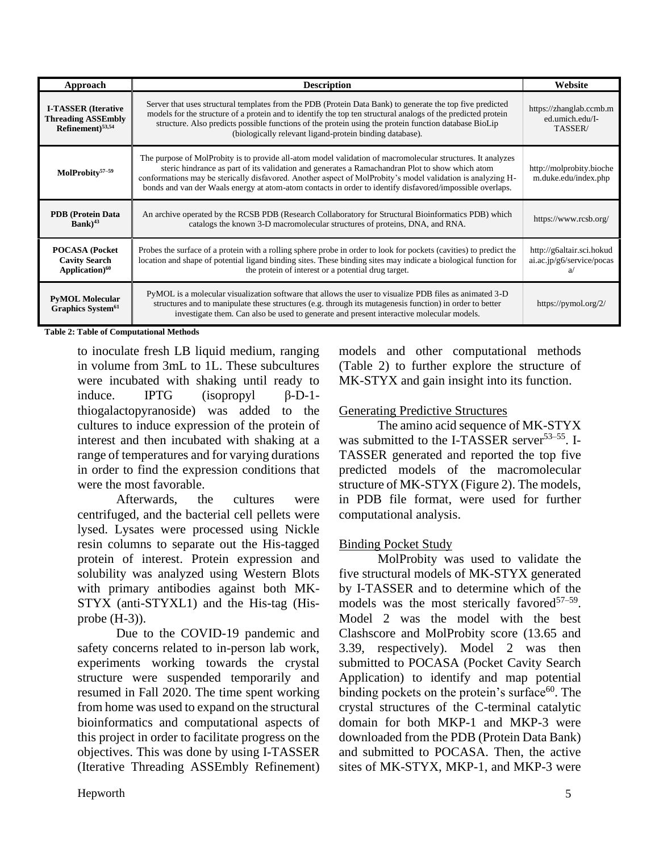| Approach                                                                                | <b>Description</b>                                                                                                                                                                                                                                                                                                                                                                                                                         | Website                                                |
|-----------------------------------------------------------------------------------------|--------------------------------------------------------------------------------------------------------------------------------------------------------------------------------------------------------------------------------------------------------------------------------------------------------------------------------------------------------------------------------------------------------------------------------------------|--------------------------------------------------------|
| <b>I-TASSER</b> (Iterative<br><b>Threading ASSEmbly</b><br>Refinement) <sup>53,54</sup> | Server that uses structural templates from the PDB (Protein Data Bank) to generate the top five predicted<br>models for the structure of a protein and to identify the top ten structural analogs of the predicted protein<br>structure. Also predicts possible functions of the protein using the protein function database BioLip<br>(biologically relevant ligand-protein binding database).                                            | https://zhanglab.ccmb.m<br>ed.umich.edu/I-<br>TASSER/  |
| MolProbity $57-59$                                                                      | The purpose of MolProbity is to provide all-atom model validation of macromolecular structures. It analyzes<br>steric hindrance as part of its validation and generates a Ramachandran Plot to show which atom<br>conformations may be sterically disfavored. Another aspect of MolProbity's model validation is analyzing H-<br>bonds and van der Waals energy at atom-atom contacts in order to identify disfavored/impossible overlaps. | http://molprobity.bioche<br>m.duke.edu/index.php       |
| <b>PDB</b> (Protein Data<br>$Bank)^{43}$                                                | An archive operated by the RCSB PDB (Research Collaboratory for Structural Bioinformatics PDB) which<br>catalogs the known 3-D macromolecular structures of proteins, DNA, and RNA.                                                                                                                                                                                                                                                        | https://www.rcsb.org/                                  |
| <b>POCASA</b> (Pocket<br><b>Cavity Search</b><br>Application) <sup>60</sup>             | Probes the surface of a protein with a rolling sphere probe in order to look for pockets (cavities) to predict the<br>location and shape of potential ligand binding sites. These binding sites may indicate a biological function for<br>the protein of interest or a potential drug target.                                                                                                                                              | http://g6altair.sci.hokud<br>ai.ac.jp/g6/service/pocas |
| <b>PyMOL Molecular</b><br>Graphics System <sup>61</sup>                                 | PyMOL is a molecular visualization software that allows the user to visualize PDB files as animated 3-D<br>structures and to manipulate these structures (e.g. through its mutagenesis function) in order to better<br>investigate them. Can also be used to generate and present interactive molecular models.                                                                                                                            | https://pymol.org/2/                                   |

#### **Table 2: Table of Computational Methods**

to inoculate fresh LB liquid medium, ranging in volume from 3mL to 1L. These subcultures were incubated with shaking until ready to induce. IPTG (isopropyl  $\beta$ -D-1thiogalactopyranoside) was added to the cultures to induce expression of the protein of interest and then incubated with shaking at a range of temperatures and for varying durations in order to find the expression conditions that were the most favorable.

Afterwards, the cultures were centrifuged, and the bacterial cell pellets were lysed. Lysates were processed using Nickle resin columns to separate out the His-tagged protein of interest. Protein expression and solubility was analyzed using Western Blots with primary antibodies against both MK-STYX (anti-STYXL1) and the His-tag (Hisprobe (H-3)).

Due to the COVID-19 pandemic and safety concerns related to in-person lab work, experiments working towards the crystal structure were suspended temporarily and resumed in Fall 2020. The time spent working from home was used to expand on the structural bioinformatics and computational aspects of this project in order to facilitate progress on the objectives. This was done by using I-TASSER (Iterative Threading ASSEmbly Refinement) models and other computational methods (Table 2) to further explore the structure of MK-STYX and gain insight into its function.

### Generating Predictive Structures

The amino acid sequence of MK-STYX was submitted to the I-TASSER server<sup>53–55</sup>. I-TASSER generated and reported the top five predicted models of the macromolecular structure of MK-STYX (Figure 2). The models, in PDB file format, were used for further computational analysis.

### Binding Pocket Study

MolProbity was used to validate the five structural models of MK-STYX generated by I-TASSER and to determine which of the models was the most sterically favored<sup>57-59</sup>. Model 2 was the model with the best Clashscore and MolProbity score (13.65 and 3.39, respectively). Model 2 was then submitted to POCASA (Pocket Cavity Search Application) to identify and map potential binding pockets on the protein's surface<sup>60</sup>. The crystal structures of the C-terminal catalytic domain for both MKP-1 and MKP-3 were downloaded from the PDB (Protein Data Bank) and submitted to POCASA. Then, the active sites of MK-STYX, MKP-1, and MKP-3 were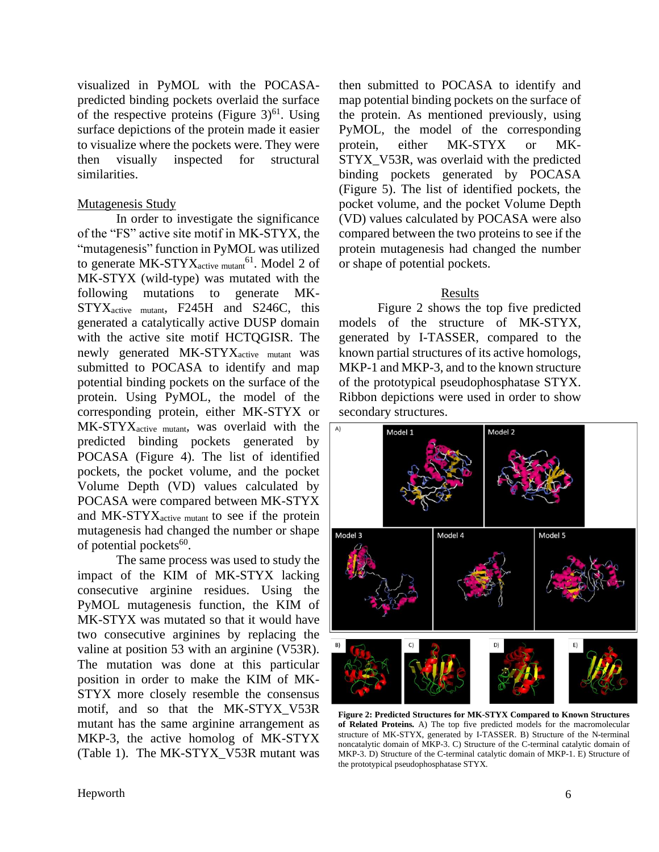visualized in PyMOL with the POCASApredicted binding pockets overlaid the surface of the respective proteins (Figure  $3)^{61}$ . Using surface depictions of the protein made it easier to visualize where the pockets were. They were then visually inspected for structural similarities.

### Mutagenesis Study

In order to investigate the significance of the "FS" active site motif in MK-STYX, the "mutagenesis" function in PyMOL was utilized to generate MK-STYX<sub>active mutant</sub><sup>61</sup>. Model 2 of MK-STYX (wild-type) was mutated with the following mutations to generate MK-STYXactive mutant, F245H and S246C, this generated a catalytically active DUSP domain with the active site motif HCTQGISR. The newly generated MK-STYX<sub>active mutant</sub> was submitted to POCASA to identify and map potential binding pockets on the surface of the protein. Using PyMOL, the model of the corresponding protein, either MK-STYX or MK-STYX<sub>active mutant</sub>, was overlaid with the predicted binding pockets generated by POCASA (Figure 4). The list of identified pockets, the pocket volume, and the pocket Volume Depth (VD) values calculated by POCASA were compared between MK-STYX and MK-STYXactive mutant to see if the protein mutagenesis had changed the number or shape of potential pockets<sup>60</sup>.

The same process was used to study the impact of the KIM of MK-STYX lacking consecutive arginine residues. Using the PyMOL mutagenesis function, the KIM of MK-STYX was mutated so that it would have two consecutive arginines by replacing the valine at position 53 with an arginine (V53R). The mutation was done at this particular position in order to make the KIM of MK-STYX more closely resemble the consensus motif, and so that the MK-STYX\_V53R mutant has the same arginine arrangement as MKP-3, the active homolog of MK-STYX (Table 1). The MK-STYX\_V53R mutant was

then submitted to POCASA to identify and map potential binding pockets on the surface of the protein. As mentioned previously, using PyMOL, the model of the corresponding protein, either MK-STYX or MK-STYX\_V53R, was overlaid with the predicted binding pockets generated by POCASA (Figure 5). The list of identified pockets, the pocket volume, and the pocket Volume Depth (VD) values calculated by POCASA were also compared between the two proteins to see if the protein mutagenesis had changed the number or shape of potential pockets.

### Results

Figure 2 shows the top five predicted models of the structure of MK-STYX, generated by I-TASSER, compared to the known partial structures of its active homologs, MKP-1 and MKP-3, and to the known structure of the prototypical pseudophosphatase STYX. Ribbon depictions were used in order to show secondary structures.



**Figure 2: Predicted Structures for MK-STYX Compared to Known Structures of Related Proteins.** A) The top five predicted models for the macromolecular structure of MK-STYX, generated by I-TASSER. B) Structure of the N-terminal noncatalytic domain of MKP-3. C) Structure of the C-terminal catalytic domain of MKP-3. D) Structure of the C-terminal catalytic domain of MKP-1. E) Structure of the prototypical pseudophosphatase STYX.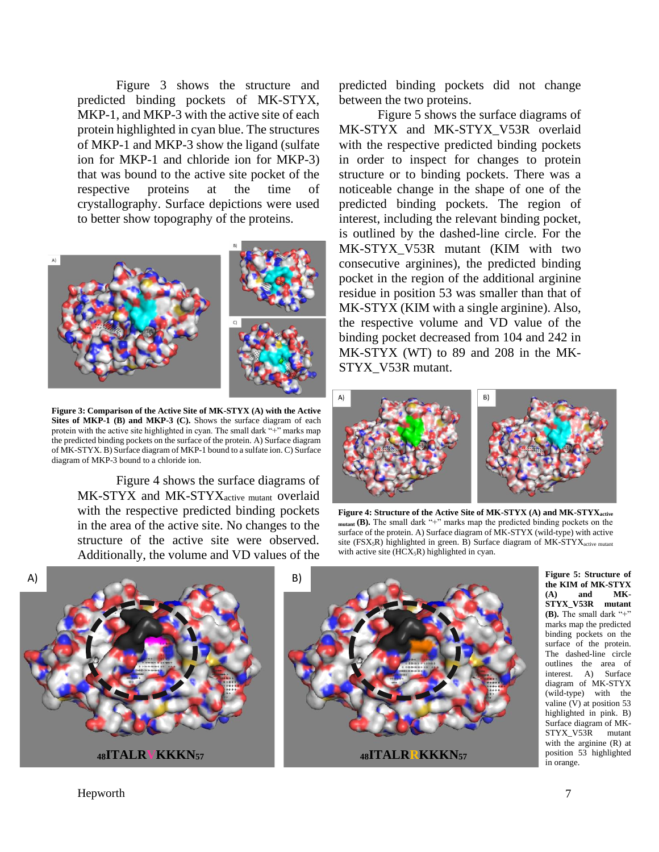Figure 3 shows the structure and predicted binding pockets of MK-STYX, MKP-1, and MKP-3 with the active site of each protein highlighted in cyan blue. The structures of MKP-1 and MKP-3 show the ligand (sulfate ion for MKP-1 and chloride ion for MKP-3) that was bound to the active site pocket of the respective proteins at the time of crystallography. Surface depictions were used to better show topography of the proteins.



**Figure 3: Comparison of the Active Site of MK-STYX (A) with the Active Sites of MKP-1 (B) and MKP-3 (C).** Shows the surface diagram of each protein with the active site highlighted in cyan. The small dark "+" marks map the predicted binding pockets on the surface of the protein. A) Surface diagram of MK-STYX. B) Surface diagram of MKP-1 bound to a sulfate ion. C) Surface diagram of MKP-3 bound to a chloride ion.

Figure 4 shows the surface diagrams of MK-STYX and MK-STYX<sub>active mutant</sub> overlaid with the respective predicted binding pockets in the area of the active site. No changes to the structure of the active site were observed. Additionally, the volume and VD values of the predicted binding pockets did not change between the two proteins.

Figure 5 shows the surface diagrams of MK-STYX and MK-STYX V53R overlaid with the respective predicted binding pockets in order to inspect for changes to protein structure or to binding pockets. There was a noticeable change in the shape of one of the predicted binding pockets. The region of interest, including the relevant binding pocket, is outlined by the dashed-line circle. For the MK-STYX\_V53R mutant (KIM with two consecutive arginines), the predicted binding pocket in the region of the additional arginine residue in position 53 was smaller than that of MK-STYX (KIM with a single arginine). Also, the respective volume and VD value of the binding pocket decreased from 104 and 242 in MK-STYX (WT) to 89 and 208 in the MK-STYX\_V53R mutant.



**Figure 4: Structure of the Active Site of MK-STYX (A) and MK-STYXactive mutant (B).** The small dark "+" marks map the predicted binding pockets on the surface of the protein. A) Surface diagram of MK-STYX (wild-type) with active site ( $FSX_5R$ ) highlighted in green. B) Surface diagram of  $MK-STYX_{active\ mutant}$ with active site  $(HCX<sub>5</sub>R)$  highlighted in cyan.



**Figure 5: Structure of the KIM of MK-STYX**   $(A)$  and **STYX\_V53R mutant (B).** The small dark "+" marks map the predicted binding pockets on the surface of the protein. The dashed-line circle outlines the area of interest. A) Surface diagram of MK-STYX (wild-type) with the valine (V) at position 53 highlighted in pink. B) Surface diagram of MK-STYX\_V53R mutant with the arginine (R) at position 53 highlighted in orange.

Hepworth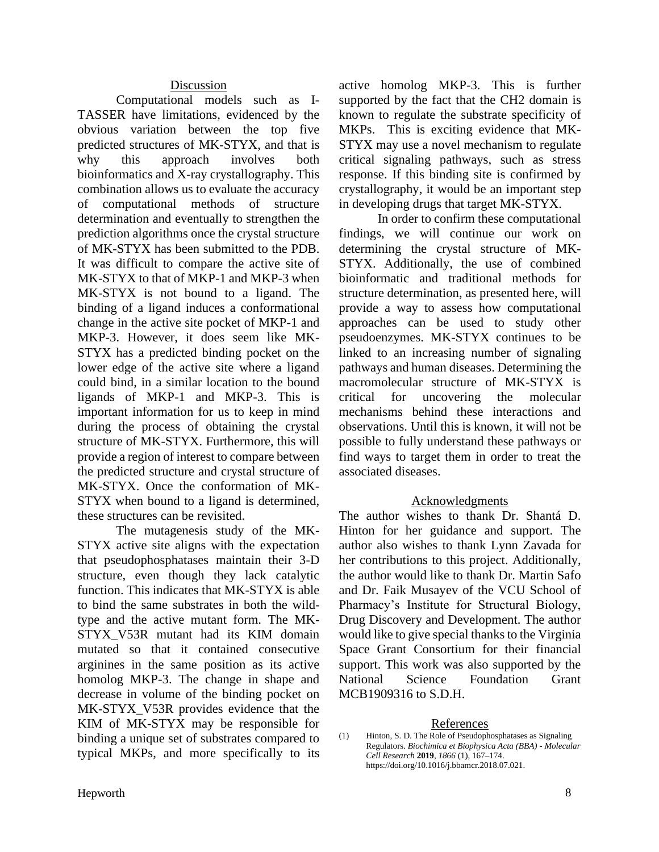### Discussion

Computational models such as I-TASSER have limitations, evidenced by the obvious variation between the top five predicted structures of MK-STYX, and that is why this approach involves both bioinformatics and X-ray crystallography. This combination allows us to evaluate the accuracy of computational methods of structure determination and eventually to strengthen the prediction algorithms once the crystal structure of MK-STYX has been submitted to the PDB. It was difficult to compare the active site of MK-STYX to that of MKP-1 and MKP-3 when MK-STYX is not bound to a ligand. The binding of a ligand induces a conformational change in the active site pocket of MKP-1 and MKP-3. However, it does seem like MK-STYX has a predicted binding pocket on the lower edge of the active site where a ligand could bind, in a similar location to the bound ligands of MKP-1 and MKP-3. This is important information for us to keep in mind during the process of obtaining the crystal structure of MK-STYX. Furthermore, this will provide a region of interest to compare between the predicted structure and crystal structure of MK-STYX. Once the conformation of MK-STYX when bound to a ligand is determined, these structures can be revisited.

The mutagenesis study of the MK-STYX active site aligns with the expectation that pseudophosphatases maintain their 3-D structure, even though they lack catalytic function. This indicates that MK-STYX is able to bind the same substrates in both the wildtype and the active mutant form. The MK-STYX\_V53R mutant had its KIM domain mutated so that it contained consecutive arginines in the same position as its active homolog MKP-3. The change in shape and decrease in volume of the binding pocket on MK-STYX V53R provides evidence that the KIM of MK-STYX may be responsible for binding a unique set of substrates compared to typical MKPs, and more specifically to its

active homolog MKP-3. This is further supported by the fact that the CH2 domain is known to regulate the substrate specificity of MKPs. This is exciting evidence that MK-STYX may use a novel mechanism to regulate critical signaling pathways, such as stress response. If this binding site is confirmed by crystallography, it would be an important step in developing drugs that target MK-STYX.

In order to confirm these computational findings, we will continue our work on determining the crystal structure of MK-STYX. Additionally, the use of combined bioinformatic and traditional methods for structure determination, as presented here, will provide a way to assess how computational approaches can be used to study other pseudoenzymes. MK-STYX continues to be linked to an increasing number of signaling pathways and human diseases. Determining the macromolecular structure of MK-STYX is critical for uncovering the molecular mechanisms behind these interactions and observations. Until this is known, it will not be possible to fully understand these pathways or find ways to target them in order to treat the associated diseases.

### Acknowledgments

The author wishes to thank Dr. Shantá D. Hinton for her guidance and support. The author also wishes to thank Lynn Zavada for her contributions to this project. Additionally, the author would like to thank Dr. Martin Safo and Dr. Faik Musayev of the VCU School of Pharmacy's Institute for Structural Biology, Drug Discovery and Development. The author would like to give special thanks to the Virginia Space Grant Consortium for their financial support. This work was also supported by the National Science Foundation Grant MCB1909316 to S.D.H.

### References

(1) Hinton, S. D. The Role of Pseudophosphatases as Signaling Regulators. *Biochimica et Biophysica Acta (BBA) - Molecular Cell Research* **2019**, *1866* (1), 167–174. https://doi.org/10.1016/j.bbamcr.2018.07.021.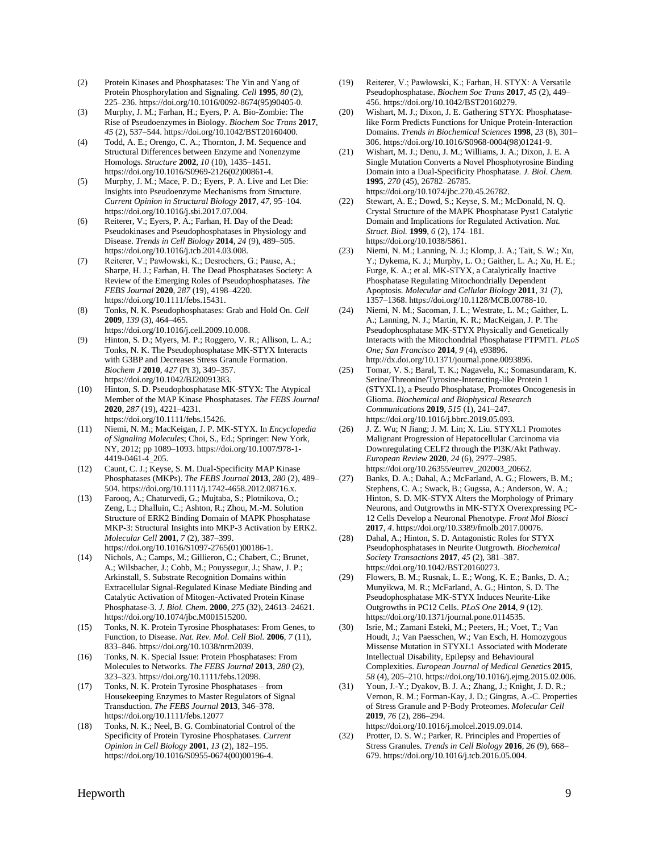- (2) Protein Kinases and Phosphatases: The Yin and Yang of Protein Phosphorylation and Signaling. *Cell* **1995**, *80* (2), 225–236. https://doi.org/10.1016/0092-8674(95)90405-0.
- (3) Murphy, J. M.; Farhan, H.; Eyers, P. A. Bio-Zombie: The Rise of Pseudoenzymes in Biology. *Biochem Soc Trans* **2017**, *45* (2), 537–544. https://doi.org/10.1042/BST20160400.
- (4) Todd, A. E.; Orengo, C. A.; Thornton, J. M. Sequence and Structural Differences between Enzyme and Nonenzyme Homologs. *Structure* **2002**, *10* (10), 1435–1451. https://doi.org/10.1016/S0969-2126(02)00861-4.
- (5) Murphy, J. M.; Mace, P. D.; Eyers, P. A. Live and Let Die: Insights into Pseudoenzyme Mechanisms from Structure. *Current Opinion in Structural Biology* **2017**, *47*, 95–104. https://doi.org/10.1016/j.sbi.2017.07.004.
- (6) Reiterer, V.; Eyers, P. A.; Farhan, H. Day of the Dead: Pseudokinases and Pseudophosphatases in Physiology and Disease. *Trends in Cell Biology* **2014**, *24* (9), 489–505. https://doi.org/10.1016/j.tcb.2014.03.008.
- (7) Reiterer, V.; Pawłowski, K.; Desrochers, G.; Pause, A.; Sharpe, H. J.; Farhan, H. The Dead Phosphatases Society: A Review of the Emerging Roles of Pseudophosphatases. *The FEBS Journal* **2020**, *287* (19), 4198–4220. https://doi.org/10.1111/febs.15431.
- (8) Tonks, N. K. Pseudophosphatases: Grab and Hold On. *Cell* **2009**, *139* (3), 464–465.
- https://doi.org/10.1016/j.cell.2009.10.008. (9) Hinton, S. D.; Myers, M. P.; Roggero, V. R.; Allison, L. A.; Tonks, N. K. The Pseudophosphatase MK-STYX Interacts with G3BP and Decreases Stress Granule Formation. *Biochem J* **2010**, *427* (Pt 3), 349–357. https://doi.org/10.1042/BJ20091383.
- (10) Hinton, S. D. Pseudophosphatase MK-STYX: The Atypical Member of the MAP Kinase Phosphatases. *The FEBS Journal* **2020**, *287* (19), 4221–4231. https://doi.org/10.1111/febs.15426.
- (11) Niemi, N. M.; MacKeigan, J. P. MK-STYX. In *Encyclopedia of Signaling Molecules*; Choi, S., Ed.; Springer: New York, NY, 2012; pp 1089–1093. https://doi.org/10.1007/978-1- 4419-0461-4\_205.
- (12) Caunt, C. J.; Keyse, S. M. Dual-Specificity MAP Kinase Phosphatases (MKPs). *The FEBS Journal* **2013**, *280* (2), 489– 504. https://doi.org/10.1111/j.1742-4658.2012.08716.x.
- (13) Farooq, A.; Chaturvedi, G.; Mujtaba, S.; Plotnikova, O.; Zeng, L.; Dhalluin, C.; Ashton, R.; Zhou, M.-M. Solution Structure of ERK2 Binding Domain of MAPK Phosphatase MKP-3: Structural Insights into MKP-3 Activation by ERK2. *Molecular Cell* **2001**, *7* (2), 387–399. https://doi.org/10.1016/S1097-2765(01)00186-1.
- (14) Nichols, A.; Camps, M.; Gillieron, C.; Chabert, C.; Brunet, A.; Wilsbacher, J.; Cobb, M.; Pouyssegur, J.; Shaw, J. P.; Arkinstall, S. Substrate Recognition Domains within Extracellular Signal-Regulated Kinase Mediate Binding and Catalytic Activation of Mitogen-Activated Protein Kinase Phosphatase-3. *J. Biol. Chem.* **2000**, *275* (32), 24613–24621. https://doi.org/10.1074/jbc.M001515200.
- (15) Tonks, N. K. Protein Tyrosine Phosphatases: From Genes, to Function, to Disease. *Nat. Rev. Mol. Cell Biol.* **2006**, *7* (11), 833–846. https://doi.org/10.1038/nrm2039.
- (16) Tonks, N. K. Special Issue: Protein Phosphatases: From Molecules to Networks. *The FEBS Journal* **2013**, *280* (2), 323–323. https://doi.org/10.1111/febs.12098.
- (17) Tonks, N. K. Protein Tyrosine Phosphatases from Housekeeping Enzymes to Master Regulators of Signal Transduction. *The FEBS Journal* **2013**, 346–378. https://doi.org/10.1111/febs.12077
- (18) Tonks, N. K.; Neel, B. G. Combinatorial Control of the Specificity of Protein Tyrosine Phosphatases. *Current Opinion in Cell Biology* **2001**, *13* (2), 182–195. https://doi.org/10.1016/S0955-0674(00)00196-4.
- (19) Reiterer, V.; Pawłowski, K.; Farhan, H. STYX: A Versatile Pseudophosphatase. *Biochem Soc Trans* **2017**, *45* (2), 449– 456. https://doi.org/10.1042/BST20160279.
- (20) Wishart, M. J.; Dixon, J. E. Gathering STYX: Phosphataselike Form Predicts Functions for Unique Protein-Interaction Domains. *Trends in Biochemical Sciences* **1998**, *23* (8), 301– 306. https://doi.org/10.1016/S0968-0004(98)01241-9.
- (21) Wishart, M. J.; Denu, J. M.; Williams, J. A.; Dixon, J. E. A Single Mutation Converts a Novel Phosphotyrosine Binding Domain into a Dual-Specificity Phosphatase. *J. Biol. Chem.* **1995**, *270* (45), 26782–26785. https://doi.org/10.1074/jbc.270.45.26782.
- (22) Stewart, A. E.; Dowd, S.; Keyse, S. M.; McDonald, N. Q. Crystal Structure of the MAPK Phosphatase Pyst1 Catalytic Domain and Implications for Regulated Activation. *Nat. Struct. Biol.* **1999**, *6* (2), 174–181. https://doi.org/10.1038/5861.
- (23) Niemi, N. M.; Lanning, N. J.; Klomp, J. A.; Tait, S. W.; Xu, Y.; Dykema, K. J.; Murphy, L. O.; Gaither, L. A.; Xu, H. E.; Furge, K. A.; et al. MK-STYX, a Catalytically Inactive Phosphatase Regulating Mitochondrially Dependent Apoptosis. *Molecular and Cellular Biology* **2011**, *31* (7), 1357–1368. https://doi.org/10.1128/MCB.00788-10.
- (24) Niemi, N. M.; Sacoman, J. L.; Westrate, L. M.; Gaither, L. A.; Lanning, N. J.; Martin, K. R.; MacKeigan, J. P. The Pseudophosphatase MK-STYX Physically and Genetically Interacts with the Mitochondrial Phosphatase PTPMT1. *PLoS One; San Francisco* **2014**, *9* (4), e93896. http://dx.doi.org/10.1371/journal.pone.0093896.
- (25) Tomar, V. S.; Baral, T. K.; Nagavelu, K.; Somasundaram, K. Serine/Threonine/Tyrosine-Interacting-like Protein 1 (STYXL1), a Pseudo Phosphatase, Promotes Oncogenesis in Glioma. *Biochemical and Biophysical Research Communications* **2019**, *515* (1), 241–247. https://doi.org/10.1016/j.bbrc.2019.05.093.
- (26) J. Z. Wu; N Jiang; J. M. Lin; X. Liu. STYXL1 Promotes Malignant Progression of Hepatocellular Carcinoma via Downregulating CELF2 through the PI3K/Akt Pathway. *European Review* **2020**, *24* (6), 2977–2985. https://doi.org/10.26355/eurrev\_202003\_20662.
- (27) Banks, D. A.; Dahal, A.; McFarland, A. G.; Flowers, B. M.; Stephens, C. A.; Swack, B.; Gugssa, A.; Anderson, W. A.; Hinton, S. D. MK-STYX Alters the Morphology of Primary Neurons, and Outgrowths in MK-STYX Overexpressing PC-12 Cells Develop a Neuronal Phenotype. *Front Mol Biosci* **2017**, *4*. https://doi.org/10.3389/fmolb.2017.00076.
- (28) Dahal, A.; Hinton, S. D. Antagonistic Roles for STYX Pseudophosphatases in Neurite Outgrowth. *Biochemical Society Transactions* **2017**, *45* (2), 381–387. https://doi.org/10.1042/BST20160273.
- (29) Flowers, B. M.; Rusnak, L. E.; Wong, K. E.; Banks, D. A.; Munyikwa, M. R.; McFarland, A. G.; Hinton, S. D. The Pseudophosphatase MK-STYX Induces Neurite-Like Outgrowths in PC12 Cells. *PLoS One* **2014**, *9* (12). https://doi.org/10.1371/journal.pone.0114535.
- (30) Isrie, M.; Zamani Esteki, M.; Peeters, H.; Voet, T.; Van Houdt, J.; Van Paesschen, W.; Van Esch, H. Homozygous Missense Mutation in STYXL1 Associated with Moderate Intellectual Disability, Epilepsy and Behavioural Complexities. *European Journal of Medical Genetics* **2015**, *58* (4), 205–210. https://doi.org/10.1016/j.ejmg.2015.02.006.
- (31) Youn, J.-Y.; Dyakov, B. J. A.; Zhang, J.; Knight, J. D. R.; Vernon, R. M.; Forman-Kay, J. D.; Gingras, A.-C. Properties of Stress Granule and P-Body Proteomes. *Molecular Cell* **2019**, *76* (2), 286–294. https://doi.org/10.1016/j.molcel.2019.09.014.
- (32) Protter, D. S. W.; Parker, R. Principles and Properties of Stress Granules. *Trends in Cell Biology* **2016**, *26* (9), 668– 679. https://doi.org/10.1016/j.tcb.2016.05.004.